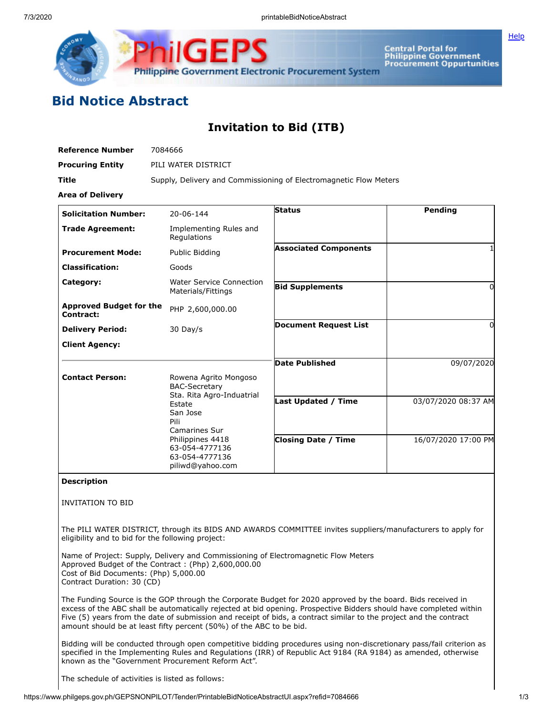



Central Portal for<br>Philippine Government<br>Procurement Oppurtunities

## **Bid Notice Abstract**

## **Invitation to Bid (ITB)**

| <b>Reference Number</b>                     | 7084666                                                                                                                                              |                              |                     |
|---------------------------------------------|------------------------------------------------------------------------------------------------------------------------------------------------------|------------------------------|---------------------|
| <b>Procuring Entity</b>                     | PILI WATER DISTRICT                                                                                                                                  |                              |                     |
| Title                                       | Supply, Delivery and Commissioning of Electromagnetic Flow Meters                                                                                    |                              |                     |
| <b>Area of Delivery</b>                     |                                                                                                                                                      |                              |                     |
| <b>Solicitation Number:</b>                 | 20-06-144                                                                                                                                            | <b>Status</b>                | Pending             |
| <b>Trade Agreement:</b>                     | Implementing Rules and<br>Regulations                                                                                                                |                              |                     |
| <b>Procurement Mode:</b>                    | Public Bidding                                                                                                                                       | <b>Associated Components</b> |                     |
| <b>Classification:</b>                      | Goods                                                                                                                                                |                              |                     |
| Category:                                   | <b>Water Service Connection</b><br>Materials/Fittings                                                                                                | <b>Bid Supplements</b>       | 0                   |
| <b>Approved Budget for the</b><br>Contract: | PHP 2,600,000.00                                                                                                                                     |                              |                     |
| <b>Delivery Period:</b>                     | $30$ Day/s                                                                                                                                           | <b>Document Request List</b> | 0                   |
| <b>Client Agency:</b>                       |                                                                                                                                                      |                              |                     |
|                                             |                                                                                                                                                      | <b>Date Published</b>        | 09/07/2020          |
| <b>Contact Person:</b>                      | Rowena Agrito Mongoso<br><b>BAC-Secretary</b>                                                                                                        |                              |                     |
|                                             | Sta. Rita Agro-Induatrial<br>Estate<br>San Jose<br>Pili<br>Camarines Sur<br>Philippines 4418<br>63-054-4777136<br>63-054-4777136<br>piliwd@yahoo.com | <b>Last Updated / Time</b>   | 03/07/2020 08:37 AM |
|                                             |                                                                                                                                                      | <b>Closing Date / Time</b>   | 16/07/2020 17:00 PM |

## **Description**

INVITATION TO BID

The PILI WATER DISTRICT, through its BIDS AND AWARDS COMMITTEE invites suppliers/manufacturers to apply for eligibility and to bid for the following project:

Name of Project: Supply, Delivery and Commissioning of Electromagnetic Flow Meters Approved Budget of the Contract : (Php) 2,600,000.00 Cost of Bid Documents: (Php) 5,000.00 Contract Duration: 30 (CD)

The Funding Source is the GOP through the Corporate Budget for 2020 approved by the board. Bids received in excess of the ABC shall be automatically rejected at bid opening. Prospective Bidders should have completed within Five (5) years from the date of submission and receipt of bids, a contract similar to the project and the contract amount should be at least fifty percent (50%) of the ABC to be bid.

Bidding will be conducted through open competitive bidding procedures using non-discretionary pass/fail criterion as specified in the Implementing Rules and Regulations (IRR) of Republic Act 9184 (RA 9184) as amended, otherwise known as the "Government Procurement Reform Act".

The schedule of activities is listed as follows: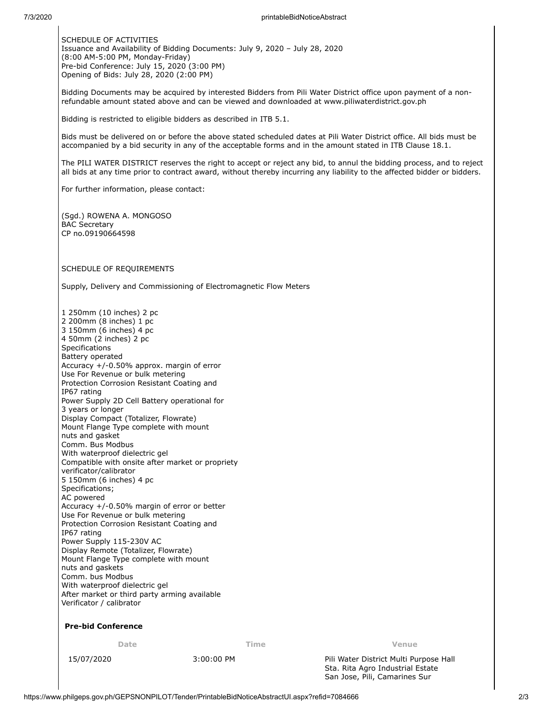SCHEDULE OF ACTIVITIES Issuance and Availability of Bidding Documents: July 9, 2020 – July 28, 2020 (8:00 AM-5:00 PM, Monday-Friday) Pre-bid Conference: July 15, 2020 (3:00 PM) Opening of Bids: July 28, 2020 (2:00 PM)

Bidding Documents may be acquired by interested Bidders from Pili Water District office upon payment of a nonrefundable amount stated above and can be viewed and downloaded at www.piliwaterdistrict.gov.ph

Bidding is restricted to eligible bidders as described in ITB 5.1.

Bids must be delivered on or before the above stated scheduled dates at Pili Water District office. All bids must be accompanied by a bid security in any of the acceptable forms and in the amount stated in ITB Clause 18.1.

The PILI WATER DISTRICT reserves the right to accept or reject any bid, to annul the bidding process, and to reject all bids at any time prior to contract award, without thereby incurring any liability to the affected bidder or bidders.

For further information, please contact:

(Sgd.) ROWENA A. MONGOSO BAC Secretary CP no.09190664598

SCHEDULE OF REQUIREMENTS

Supply, Delivery and Commissioning of Electromagnetic Flow Meters

1 250mm (10 inches) 2 pc 2 200mm (8 inches) 1 pc 3 150mm (6 inches) 4 pc 4 50mm (2 inches) 2 pc Specifications Battery operated Accuracy +/-0.50% approx. margin of error Use For Revenue or bulk metering Protection Corrosion Resistant Coating and IP67 rating Power Supply 2D Cell Battery operational for 3 years or longer Display Compact (Totalizer, Flowrate) Mount Flange Type complete with mount nuts and gasket Comm. Bus Modbus With waterproof dielectric gel Compatible with onsite after market or propriety verificator/calibrator 5 150mm (6 inches) 4 pc Specifications; AC powered Accuracy +/-0.50% margin of error or better Use For Revenue or bulk metering Protection Corrosion Resistant Coating and IP67 rating Power Supply 115-230V AC Display Remote (Totalizer, Flowrate) Mount Flange Type complete with mount nuts and gaskets Comm. bus Modbus With waterproof dielectric gel After market or third party arming available Verificator / calibrator

## **Pre-bid Conference**

**Date Time Venue**

15/07/2020 3:00:00 PM Pili Water District Multi Purpose Hall Sta. Rita Agro Industrial Estate San Jose, Pili, Camarines Sur